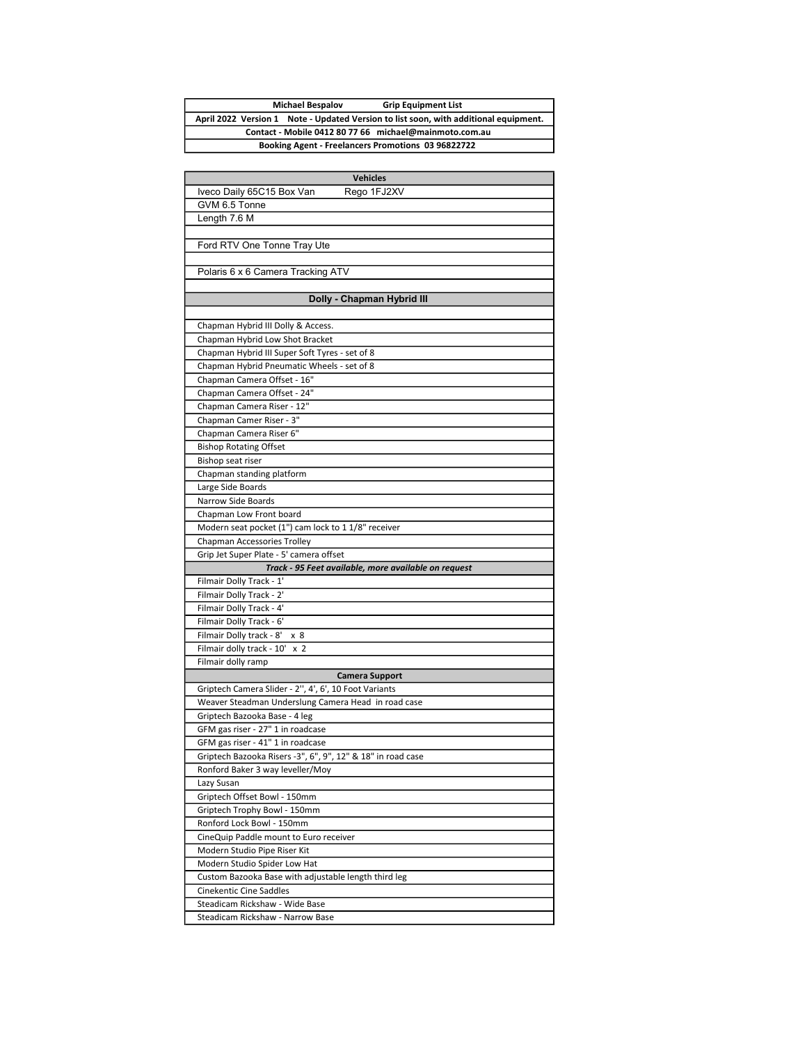## Michael Bespalov Grip Equipment List April 2022 Version 1 Note - Updated Version to list soon, with additional equipment. Contact - Mobile 0412 80 77 66 michael@mainmoto.com.au Booking Agent - Freelancers Promotions 03 96822722

| <b>Vehicles</b>                                                        |  |
|------------------------------------------------------------------------|--|
| Iveco Daily 65C15 Box Van<br>Rego 1FJ2XV                               |  |
| GVM 6.5 Tonne                                                          |  |
| Length 7.6 M                                                           |  |
|                                                                        |  |
| Ford RTV One Tonne Tray Ute                                            |  |
|                                                                        |  |
| Polaris 6 x 6 Camera Tracking ATV                                      |  |
|                                                                        |  |
| Dolly - Chapman Hybrid III                                             |  |
|                                                                        |  |
| Chapman Hybrid III Dolly & Access.<br>Chapman Hybrid Low Shot Bracket  |  |
| Chapman Hybrid III Super Soft Tyres - set of 8                         |  |
| Chapman Hybrid Pneumatic Wheels - set of 8                             |  |
| Chapman Camera Offset - 16"                                            |  |
| Chapman Camera Offset - 24"                                            |  |
| Chapman Camera Riser - 12"                                             |  |
| Chapman Camer Riser - 3"                                               |  |
| Chapman Camera Riser 6"                                                |  |
| <b>Bishop Rotating Offset</b>                                          |  |
| Bishop seat riser                                                      |  |
| Chapman standing platform                                              |  |
| Large Side Boards                                                      |  |
| Narrow Side Boards                                                     |  |
| Chapman Low Front board                                                |  |
| Modern seat pocket (1") cam lock to 1 1/8" receiver                    |  |
| Chapman Accessories Trolley                                            |  |
| Grip Jet Super Plate - 5' camera offset                                |  |
| Track - 95 Feet available, more available on request                   |  |
| Filmair Dolly Track - 1'                                               |  |
| Filmair Dolly Track - 2'                                               |  |
| Filmair Dolly Track - 4'                                               |  |
| Filmair Dolly Track - 6'                                               |  |
| Filmair Dolly track - 8'<br>x 8                                        |  |
| Filmair dolly track - 10'<br>x <sub>2</sub>                            |  |
| Filmair dolly ramp                                                     |  |
| <b>Camera Support</b>                                                  |  |
| Griptech Camera Slider - 2", 4', 6', 10 Foot Variants                  |  |
| Weaver Steadman Underslung Camera Head in road case                    |  |
| Griptech Bazooka Base - 4 leg                                          |  |
| GFM gas riser - 27" 1 in roadcase<br>GFM gas riser - 41" 1 in roadcase |  |
| Griptech Bazooka Risers -3", 6", 9", 12" & 18" in road case            |  |
| Ronford Baker 3 way leveller/Moy                                       |  |
| Lazy Susan                                                             |  |
| Griptech Offset Bowl - 150mm                                           |  |
| Griptech Trophy Bowl - 150mm                                           |  |
| Ronford Lock Bowl - 150mm                                              |  |
| CineQuip Paddle mount to Euro receiver                                 |  |
| Modern Studio Pipe Riser Kit                                           |  |
| Modern Studio Spider Low Hat                                           |  |
| Custom Bazooka Base with adjustable length third leg                   |  |
| <b>Cinekentic Cine Saddles</b>                                         |  |
| Steadicam Rickshaw - Wide Base                                         |  |
| Steadicam Rickshaw - Narrow Base                                       |  |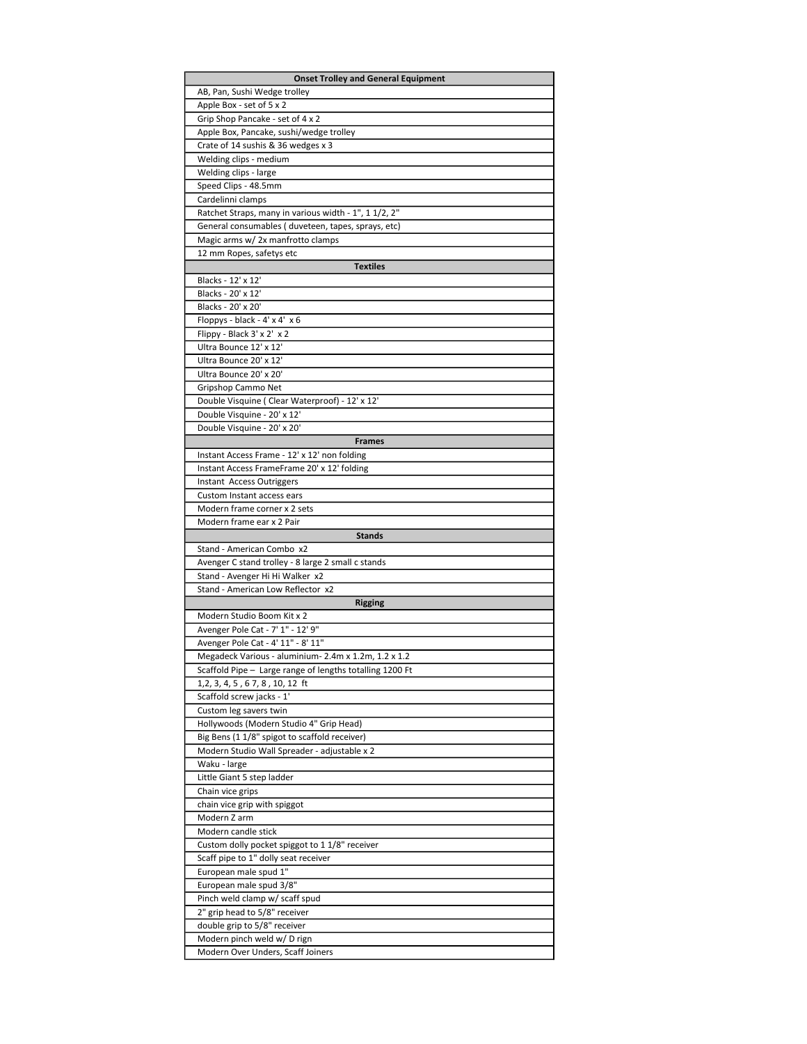| <b>Onset Trolley and General Equipment</b>                                                 |
|--------------------------------------------------------------------------------------------|
| AB, Pan, Sushi Wedge trolley                                                               |
| Apple Box - set of 5 x 2                                                                   |
| Grip Shop Pancake - set of 4 x 2                                                           |
| Apple Box, Pancake, sushi/wedge trolley                                                    |
| Crate of 14 sushis & 36 wedges x 3                                                         |
| Welding clips - medium                                                                     |
| Welding clips - large                                                                      |
| Speed Clips - 48.5mm                                                                       |
| Cardelinni clamps                                                                          |
| Ratchet Straps, many in various width - 1", 1 1/2, 2"                                      |
| General consumables (duveteen, tapes, sprays, etc)                                         |
| Magic arms w/2x manfrotto clamps                                                           |
| 12 mm Ropes, safetys etc                                                                   |
| <b>Textiles</b>                                                                            |
| Blacks - 12' x 12'<br>Blacks - 20' x 12'                                                   |
| Blacks - 20' x 20'                                                                         |
| Floppys - black - 4' x 4' x 6                                                              |
| Flippy - Black 3' x 2' x 2                                                                 |
| Ultra Bounce 12' x 12'                                                                     |
| Ultra Bounce 20' x 12'                                                                     |
| Ultra Bounce 20' x 20'                                                                     |
| Gripshop Cammo Net                                                                         |
| Double Visquine (Clear Waterproof) - 12' x 12'                                             |
| Double Visquine - 20' x 12'                                                                |
| Double Visquine - 20' x 20'                                                                |
| <b>Frames</b>                                                                              |
| Instant Access Frame - 12' x 12' non folding                                               |
| Instant Access FrameFrame 20' x 12' folding                                                |
| Instant Access Outriggers                                                                  |
| Custom Instant access ears                                                                 |
| Modern frame corner x 2 sets                                                               |
| Modern frame ear x 2 Pair                                                                  |
|                                                                                            |
| <b>Stands</b>                                                                              |
| Stand - American Combo x2                                                                  |
| Avenger C stand trolley - 8 large 2 small c stands                                         |
| Stand - Avenger Hi Hi Walker x2                                                            |
| Stand - American Low Reflector x2                                                          |
| Rigging                                                                                    |
| Modern Studio Boom Kit x 2                                                                 |
| Avenger Pole Cat - 7' 1" - 12' 9"                                                          |
| Avenger Pole Cat - 4' 11" - 8' 11"                                                         |
| Megadeck Various - aluminium-2.4m x 1.2m, 1.2 x 1.2                                        |
| Scaffold Pipe - Large range of lengths totalling 1200 Ft<br>1,2, 3, 4, 5, 67, 8, 10, 12 ft |
| Scaffold screw jacks - 1'                                                                  |
| Custom leg savers twin                                                                     |
| Hollywoods (Modern Studio 4" Grip Head)                                                    |
| Big Bens (1 1/8" spigot to scaffold receiver)                                              |
| Modern Studio Wall Spreader - adjustable x 2                                               |
| Waku - large                                                                               |
| Little Giant 5 step ladder                                                                 |
| Chain vice grips                                                                           |
| chain vice grip with spiggot                                                               |
| Modern Z arm                                                                               |
| Modern candle stick                                                                        |
| Custom dolly pocket spiggot to 1 1/8" receiver                                             |
| Scaff pipe to 1" dolly seat receiver                                                       |
| European male spud 1"                                                                      |
| European male spud 3/8"                                                                    |
| Pinch weld clamp w/ scaff spud                                                             |
| 2" grip head to 5/8" receiver<br>double grip to 5/8" receiver                              |
| Modern pinch weld w/ D rign                                                                |